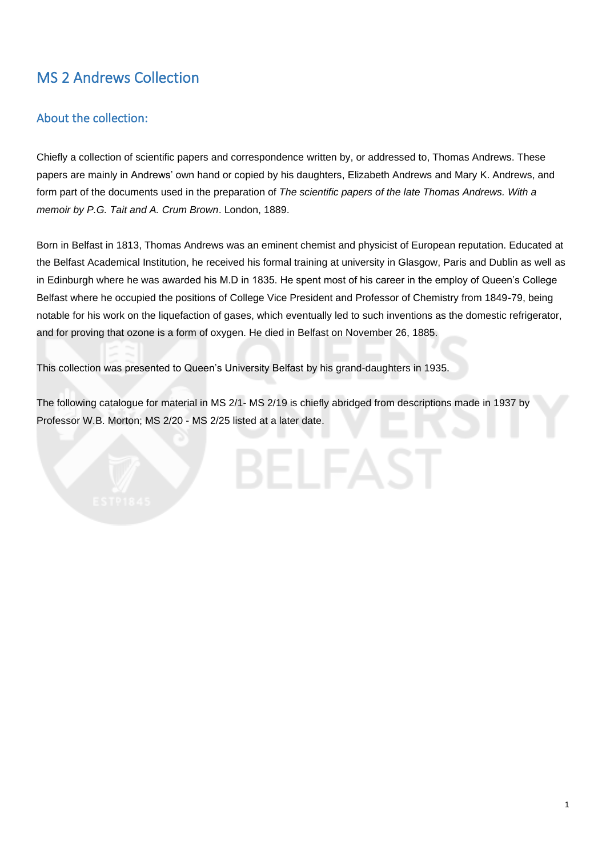# MS 2 Andrews Collection

# About the collection:

Chiefly a collection of scientific papers and correspondence written by, or addressed to, Thomas Andrews. These papers are mainly in Andrews' own hand or copied by his daughters, Elizabeth Andrews and Mary K. Andrews, and form part of the documents used in the preparation of *The scientific papers of the late Thomas Andrews. With a memoir by P.G. Tait and A. Crum Brown*. London, 1889.

Born in Belfast in 1813, Thomas Andrews was an eminent chemist and physicist of European reputation. Educated at the Belfast Academical Institution, he received his formal training at university in Glasgow, Paris and Dublin as well as in Edinburgh where he was awarded his M.D in 1835. He spent most of his career in the employ of Queen's College Belfast where he occupied the positions of College Vice President and Professor of Chemistry from 1849-79, being notable for his work on the liquefaction of gases, which eventually led to such inventions as the domestic refrigerator, and for proving that ozone is a form of oxygen. He died in Belfast on November 26, 1885.

This collection was presented to Queen's University Belfast by his grand-daughters in 1935.

The following catalogue for material in MS 2/1- MS 2/19 is chiefly abridged from descriptions made in 1937 by Professor W.B. Morton; MS 2/20 - MS 2/25 listed at a later date.

1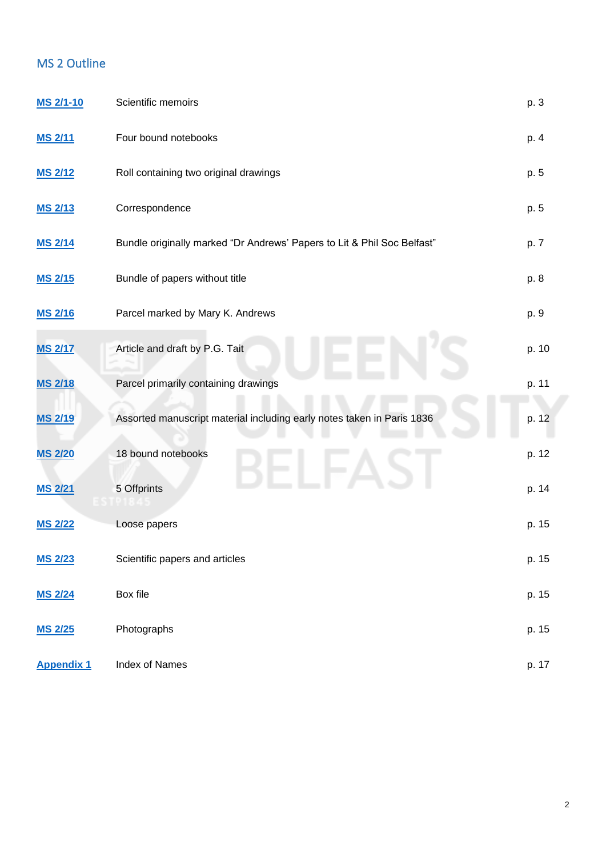# MS 2 Outline

| MS 2/1-10         | Scientific memoirs                                                      | p. 3  |
|-------------------|-------------------------------------------------------------------------|-------|
| <b>MS 2/11</b>    | Four bound notebooks                                                    | p. 4  |
| <b>MS 2/12</b>    | Roll containing two original drawings                                   | p. 5  |
| <b>MS 2/13</b>    | Correspondence                                                          | p. 5  |
| <b>MS 2/14</b>    | Bundle originally marked "Dr Andrews' Papers to Lit & Phil Soc Belfast" | p. 7  |
| <b>MS 2/15</b>    | Bundle of papers without title                                          | p. 8  |
| <b>MS 2/16</b>    | Parcel marked by Mary K. Andrews                                        | p. 9  |
| <b>MS 2/17</b>    | Article and draft by P.G. Tait                                          | p. 10 |
| <b>MS 2/18</b>    | Parcel primarily containing drawings                                    | p. 11 |
| <b>MS 2/19</b>    | Assorted manuscript material including early notes taken in Paris 1836  | p. 12 |
| <b>MS 2/20</b>    | 18 bound notebooks                                                      | p. 12 |
| <b>MS 2/21</b>    | 5 Offprints                                                             | p. 14 |
| <b>MS 2/22</b>    | Loose papers                                                            | p. 15 |
| <b>MS 2/23</b>    | Scientific papers and articles                                          | p. 15 |
| <b>MS 2/24</b>    | Box file                                                                | p. 15 |
| <b>MS 2/25</b>    | Photographs                                                             | p. 15 |
| <b>Appendix 1</b> | Index of Names                                                          | p. 17 |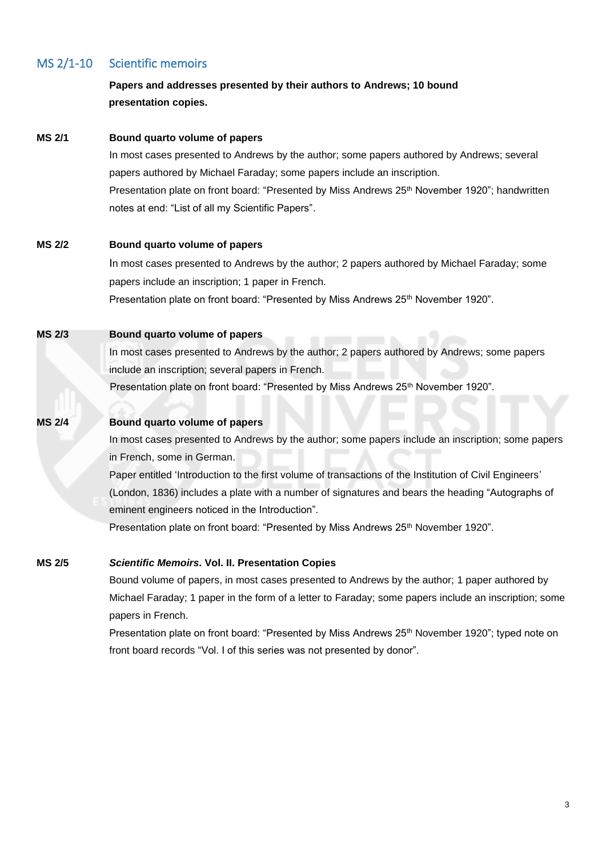# <span id="page-2-0"></span>MS 2/1-10 Scientific memoirs

# **Papers and addresses presented by their authors to Andrews; 10 bound presentation copies.**

#### <span id="page-2-1"></span>**MS 2/1 Bound quarto volume of papers**

In most cases presented to Andrews by the author; some papers authored by Andrews; several papers authored by Michael Faraday; some papers include an inscription. Presentation plate on front board: "Presented by Miss Andrews 25<sup>th</sup> November 1920"; handwritten notes at end: "List of all my Scientific Papers".

#### <span id="page-2-2"></span>**MS 2/2 Bound quarto volume of papers**

In most cases presented to Andrews by the author; 2 papers authored by Michael Faraday; some papers include an inscription; 1 paper in French. Presentation plate on front board: "Presented by Miss Andrews 25<sup>th</sup> November 1920".

#### **MS 2/3 Bound quarto volume of papers**

In most cases presented to Andrews by the author; 2 papers authored by Andrews; some papers include an inscription; several papers in French.

Presentation plate on front board: "Presented by Miss Andrews 25<sup>th</sup> November 1920".

### **MS 2/4 Bound quarto volume of papers**

In most cases presented to Andrews by the author; some papers include an inscription; some papers in French, some in German.

Paper entitled 'Introduction to the first volume of transactions of the Institution of Civil Engineers' (London, 1836) includes a plate with a number of signatures and bears the heading "Autographs of eminent engineers noticed in the Introduction".

Presentation plate on front board: "Presented by Miss Andrews 25<sup>th</sup> November 1920".

#### <span id="page-2-3"></span>**MS 2/5** *Scientific Memoirs.* **Vol. II. Presentation Copies**

Bound volume of papers, in most cases presented to Andrews by the author; 1 paper authored by Michael Faraday; 1 paper in the form of a letter to Faraday; some papers include an inscription; some papers in French.

<span id="page-2-4"></span>Presentation plate on front board: "Presented by Miss Andrews 25<sup>th</sup> November 1920"; typed note on front board records "Vol. I of this series was not presented by donor".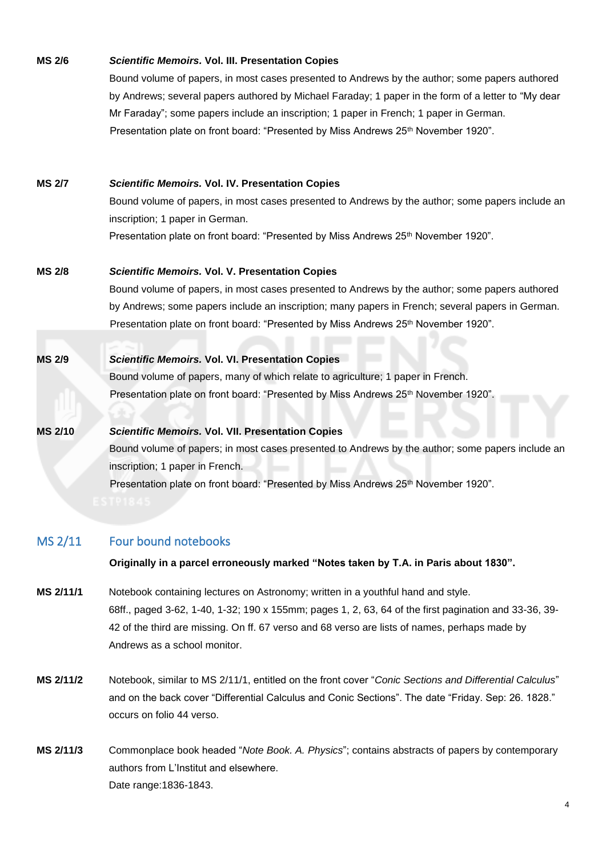# **MS 2/6** *Scientific Memoirs.* **Vol. III. Presentation Copies** Bound volume of papers, in most cases presented to Andrews by the author; some papers authored

by Andrews; several papers authored by Michael Faraday; 1 paper in the form of a letter to "My dear Mr Faraday"; some papers include an inscription; 1 paper in French; 1 paper in German. Presentation plate on front board: "Presented by Miss Andrews 25<sup>th</sup> November 1920".

## **MS 2/7** *Scientific Memoirs.* **Vol. IV. Presentation Copies**

Bound volume of papers, in most cases presented to Andrews by the author; some papers include an inscription; 1 paper in German. Presentation plate on front board: "Presented by Miss Andrews 25<sup>th</sup> November 1920".

### **MS 2/8** *Scientific Memoirs.* **Vol. V. Presentation Copies**

Bound volume of papers, in most cases presented to Andrews by the author; some papers authored by Andrews; some papers include an inscription; many papers in French; several papers in German. Presentation plate on front board: "Presented by Miss Andrews 25<sup>th</sup> November 1920".

### **MS 2/9** *Scientific Memoirs.* **Vol. VI. Presentation Copies**

Bound volume of papers, many of which relate to agriculture; 1 paper in French. Presentation plate on front board: "Presented by Miss Andrews 25<sup>th</sup> November 1920".

# **MS 2/10** *Scientific Memoirs.* **Vol. VII. Presentation Copies**

Bound volume of papers; in most cases presented to Andrews by the author; some papers include an inscription; 1 paper in French. Presentation plate on front board: "Presented by Miss Andrews 25<sup>th</sup> November 1920".

# <span id="page-3-0"></span>MS 2/11 Four bound notebooks

**Originally in a parcel erroneously marked "Notes taken by T.A. in Paris about 1830".**

- **MS 2/11/1** Notebook containing lectures on Astronomy; written in a youthful hand and style. 68ff., paged 3-62, 1-40, 1-32; 190 x 155mm; pages 1, 2, 63, 64 of the first pagination and 33-36, 39- 42 of the third are missing. On ff. 67 verso and 68 verso are lists of names, perhaps made by Andrews as a school monitor.
- **MS 2/11/2** Notebook, similar to MS 2/11/1, entitled on the front cover "*Conic Sections and Differential Calculus*" and on the back cover "Differential Calculus and Conic Sections". The date "Friday. Sep: 26. 1828." occurs on folio 44 verso.
- **MS 2/11/3** Commonplace book headed "*Note Book. A. Physics*"; contains abstracts of papers by contemporary authors from L'Institut and elsewhere. Date range:1836-1843.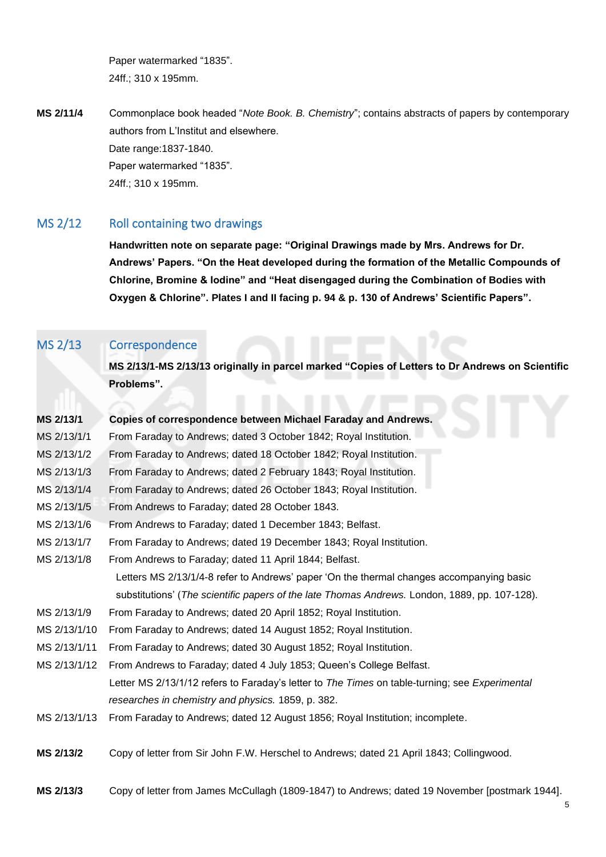Paper watermarked "1835". 24ff.; 310 x 195mm.

**MS 2/11/4** Commonplace book headed "*Note Book. B. Chemistry*"; contains abstracts of papers by contemporary authors from L'Institut and elsewhere. Date range:1837-1840. Paper watermarked "1835". 24ff.; 310 x 195mm.

# MS 2/12 Roll containing two drawings

<span id="page-4-0"></span>**Handwritten note on separate page: "Original Drawings made by Mrs. Andrews for Dr. Andrews' Papers. "On the Heat developed during the formation of the Metallic Compounds of Chlorine, Bromine & Iodine" and "Heat disengaged during the Combination of Bodies with Oxygen & Chlorine". Plates I and II facing p. 94 & p. 130 of Andrews' Scientific Papers".**

# <span id="page-4-1"></span>MS 2/13 Correspondence

**MS 2/13/1-MS 2/13/13 originally in parcel marked "Copies of Letters to Dr Andrews on Scientific Problems".**

<span id="page-4-2"></span>

| MS 2/13/1    | Copies of correspondence between Michael Faraday and Andrews.                                  |
|--------------|------------------------------------------------------------------------------------------------|
| MS 2/13/1/1  | From Faraday to Andrews; dated 3 October 1842; Royal Institution.                              |
| MS 2/13/1/2  | From Faraday to Andrews; dated 18 October 1842; Royal Institution.                             |
| MS 2/13/1/3  | From Faraday to Andrews; dated 2 February 1843; Royal Institution.                             |
| MS 2/13/1/4  | From Faraday to Andrews; dated 26 October 1843; Royal Institution.                             |
| MS 2/13/1/5  | From Andrews to Faraday; dated 28 October 1843.                                                |
| MS 2/13/1/6  | From Andrews to Faraday; dated 1 December 1843; Belfast.                                       |
| MS 2/13/1/7  | From Faraday to Andrews; dated 19 December 1843; Royal Institution.                            |
| MS 2/13/1/8  | From Andrews to Faraday; dated 11 April 1844; Belfast.                                         |
|              | Letters MS 2/13/1/4-8 refer to Andrews' paper 'On the thermal changes accompanying basic       |
|              | substitutions' (The scientific papers of the late Thomas Andrews. London, 1889, pp. 107-128).  |
| MS 2/13/1/9  | From Faraday to Andrews; dated 20 April 1852; Royal Institution.                               |
| MS 2/13/1/10 | From Faraday to Andrews; dated 14 August 1852; Royal Institution.                              |
| MS 2/13/1/11 | From Faraday to Andrews; dated 30 August 1852; Royal Institution.                              |
| MS 2/13/1/12 | From Andrews to Faraday; dated 4 July 1853; Queen's College Belfast.                           |
|              | Letter MS 2/13/1/12 refers to Faraday's letter to The Times on table-turning; see Experimental |
|              | researches in chemistry and physics. 1859, p. 382.                                             |
| MS 2/13/1/13 | From Faraday to Andrews; dated 12 August 1856; Royal Institution; incomplete.                  |
| MS 2/13/2    | Copy of letter from Sir John F.W. Herschel to Andrews; dated 21 April 1843; Collingwood.       |
|              |                                                                                                |

<span id="page-4-4"></span><span id="page-4-3"></span>**MS 2/13/3** Copy of letter from James McCullagh (1809-1847) to Andrews; dated 19 November [postmark 1944].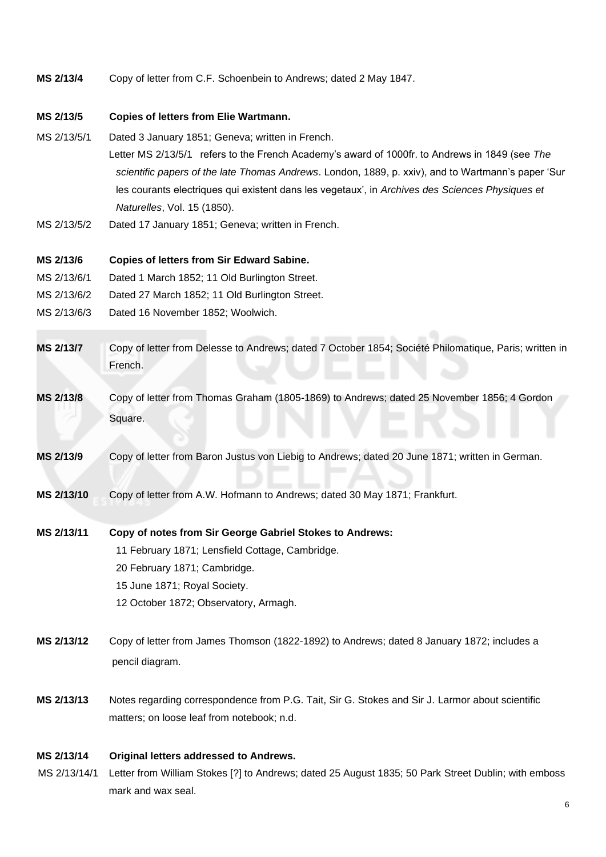<span id="page-5-5"></span>**MS 2/13/4** Copy of letter from C.F. Schoenbein to Andrews; dated 2 May 1847.

#### <span id="page-5-10"></span>**MS 2/13/5 Copies of letters from Elie Wartmann.**

- MS 2/13/5/1 Dated 3 January 1851; Geneva; written in French. Letter MS 2/13/5/1 refers to the French Academy's award of 1000fr. to Andrews in 1849 (see *The scientific papers of the late Thomas Andrews*. London, 1889, p. xxiv), and to Wartmann's paper 'Sur les courants electriques qui existent dans les vegetaux', in *Archives des Sciences Physiques et Naturelles*, Vol. 15 (1850).
- MS 2/13/5/2 Dated 17 January 1851; Geneva; written in French.

#### <span id="page-5-4"></span>**MS 2/13/6 Copies of letters from Sir Edward Sabine.**

- MS 2/13/6/1 Dated 1 March 1852; 11 Old Burlington Street.
- MS 2/13/6/2 Dated 27 March 1852; 11 Old Burlington Street.
- MS 2/13/6/3 Dated 16 November 1852; Woolwich.
- <span id="page-5-0"></span>**MS 2/13/7** Copy of letter from Delesse to Andrews; dated 7 October 1854; Société Philomatique, Paris; written in French.
- <span id="page-5-1"></span>**MS 2/13/8** Copy of letter from Thomas Graham (1805-1869) to Andrews; dated 25 November 1856; 4 Gordon Square.
- <span id="page-5-3"></span>**MS 2/13/9** Copy of letter from Baron Justus von Liebig to Andrews; dated 20 June 1871; written in German.
- <span id="page-5-2"></span>**MS 2/13/10** Copy of letter from A.W. Hofmann to Andrews; dated 30 May 1871; Frankfurt.
- <span id="page-5-6"></span>**MS 2/13/11 Copy of notes from Sir George Gabriel Stokes to Andrews:** 11 February 1871; Lensfield Cottage, Cambridge. 20 February 1871; Cambridge. 15 June 1871; Royal Society. 12 October 1872; Observatory, Armagh.
- <span id="page-5-9"></span>**MS 2/13/12** Copy of letter from James Thomson (1822-1892) to Andrews; dated 8 January 1872; includes a pencil diagram.
- <span id="page-5-7"></span>**MS 2/13/13** Notes regarding correspondence from P.G. Tait, Sir G. Stokes and Sir J. Larmor about scientific matters; on loose leaf from notebook; n.d.

#### **MS 2/13/14 Original letters addressed to Andrews.**

<span id="page-5-8"></span> MS 2/13/14/1 Letter from William Stokes [?] to Andrews; dated 25 August 1835; 50 Park Street Dublin; with emboss mark and wax seal.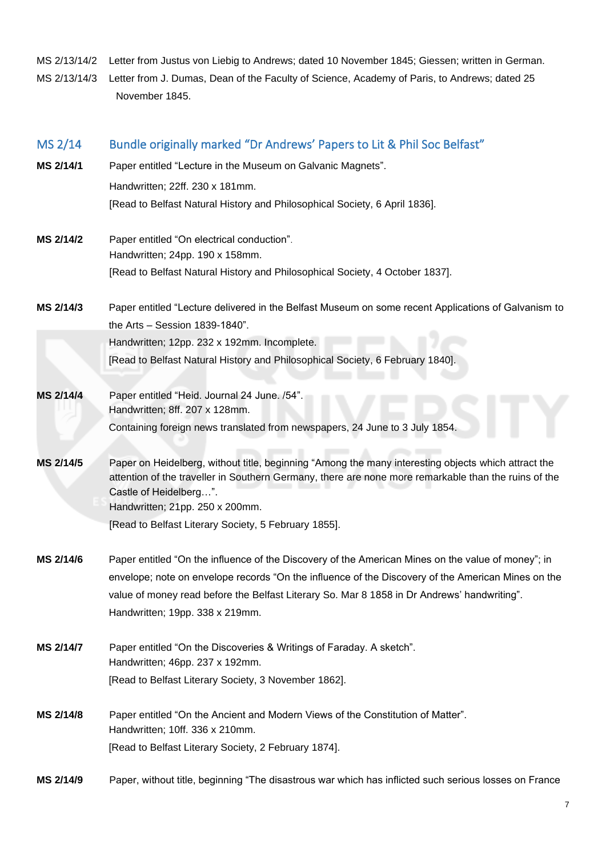<span id="page-6-1"></span>MS 2/13/14/2 Letter from Justus von Liebig to Andrews; dated 10 November 1845; Giessen; written in German. MS 2/13/14/3 Letter from J. Dumas, Dean of the Faculty of Science, Academy of Paris, to Andrews; dated 25 November 1845.

<span id="page-6-2"></span><span id="page-6-0"></span>

| MS 2/14   | Bundle originally marked "Dr Andrews' Papers to Lit & Phil Soc Belfast"                                                        |  |  |
|-----------|--------------------------------------------------------------------------------------------------------------------------------|--|--|
| MS 2/14/1 | Paper entitled "Lecture in the Museum on Galvanic Magnets".                                                                    |  |  |
|           | Handwritten; 22ff. 230 x 181mm.                                                                                                |  |  |
|           | [Read to Belfast Natural History and Philosophical Society, 6 April 1836].                                                     |  |  |
| MS 2/14/2 | Paper entitled "On electrical conduction".                                                                                     |  |  |
|           | Handwritten; 24pp. 190 x 158mm.                                                                                                |  |  |
|           | [Read to Belfast Natural History and Philosophical Society, 4 October 1837].                                                   |  |  |
| MS 2/14/3 | Paper entitled "Lecture delivered in the Belfast Museum on some recent Applications of Galvanism to                            |  |  |
|           | the Arts - Session 1839-1840".                                                                                                 |  |  |
|           | Handwritten; 12pp. 232 x 192mm. Incomplete.                                                                                    |  |  |
|           | [Read to Belfast Natural History and Philosophical Society, 6 February 1840].                                                  |  |  |
| MS 2/14/4 | Paper entitled "Heid. Journal 24 June. /54".                                                                                   |  |  |
|           | Handwritten; 8ff. 207 x 128mm.                                                                                                 |  |  |
|           | Containing foreign news translated from newspapers, 24 June to 3 July 1854.                                                    |  |  |
| MS 2/14/5 | Paper on Heidelberg, without title, beginning "Among the many interesting objects which attract the                            |  |  |
|           | attention of the traveller in Southern Germany, there are none more remarkable than the ruins of the<br>Castle of Heidelberg". |  |  |
|           | Handwritten; 21pp. 250 x 200mm.                                                                                                |  |  |
|           | [Read to Belfast Literary Society, 5 February 1855].                                                                           |  |  |
| MS 2/14/6 | Paper entitled "On the influence of the Discovery of the American Mines on the value of money"; in                             |  |  |
|           | envelope; note on envelope records "On the influence of the Discovery of the American Mines on the                             |  |  |
|           | value of money read before the Belfast Literary So. Mar 8 1858 in Dr Andrews' handwriting".                                    |  |  |
|           | Handwritten; 19pp. 338 x 219mm.                                                                                                |  |  |
| MS 2/14/7 | Paper entitled "On the Discoveries & Writings of Faraday. A sketch".                                                           |  |  |
|           | Handwritten; 46pp. 237 x 192mm.                                                                                                |  |  |
|           | [Read to Belfast Literary Society, 3 November 1862].                                                                           |  |  |
| MS 2/14/8 | Paper entitled "On the Ancient and Modern Views of the Constitution of Matter".                                                |  |  |
|           | Handwritten; 10ff. 336 x 210mm.                                                                                                |  |  |
|           | [Read to Belfast Literary Society, 2 February 1874].                                                                           |  |  |
| MS 2/14/9 | Paper, without title, beginning "The disastrous war which has inflicted such serious losses on France                          |  |  |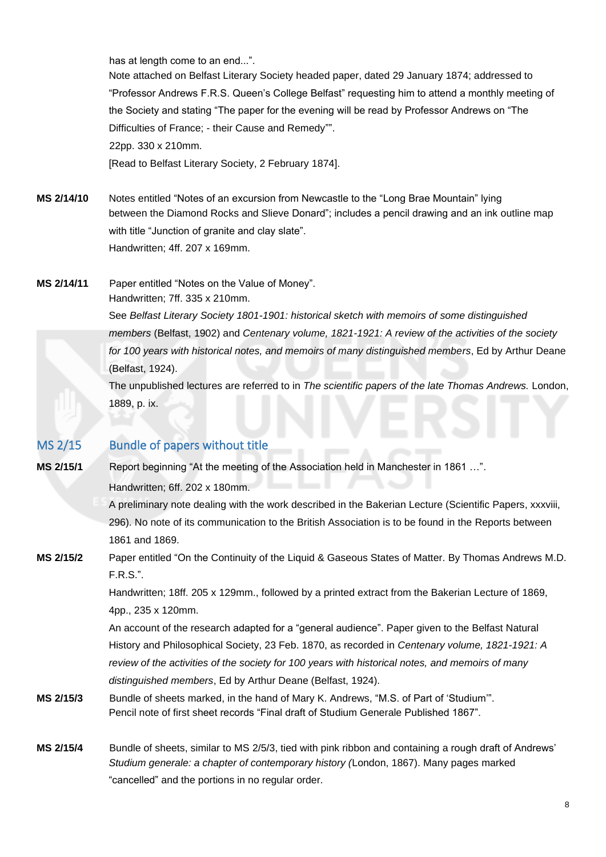has at length come to an end...".

Note attached on Belfast Literary Society headed paper, dated 29 January 1874; addressed to "Professor Andrews F.R.S. Queen's College Belfast" requesting him to attend a monthly meeting of the Society and stating "The paper for the evening will be read by Professor Andrews on "The Difficulties of France; - their Cause and Remedy"". 22pp. 330 x 210mm.

[Read to Belfast Literary Society, 2 February 1874].

- **MS 2/14/10** Notes entitled "Notes of an excursion from Newcastle to the "Long Brae Mountain" lying between the Diamond Rocks and Slieve Donard"; includes a pencil drawing and an ink outline map with title "Junction of granite and clay slate". Handwritten; 4ff. 207 x 169mm.
- **MS 2/14/11** Paper entitled "Notes on the Value of Money". Handwritten; 7ff. 335 x 210mm. See *Belfast Literary Society 1801-1901: historical sketch with memoirs of some distinguished members* (Belfast, 1902) and *Centenary volume, 1821-1921: A review of the activities of the society for 100 years with historical notes, and memoirs of many distinguished members*, Ed by Arthur Deane (Belfast, 1924). The unpublished lectures are referred to in *The scientific papers of the late Thomas Andrews.* London, 1889, p. ix.

# <span id="page-7-0"></span>MS 2/15 Bundle of papers without title

**MS 2/15/1** Report beginning "At the meeting of the Association held in Manchester in 1861 …".

Handwritten; 6ff. 202 x 180mm.

A preliminary note dealing with the work described in the Bakerian Lecture (Scientific Papers, xxxviii, 296). No note of its communication to the British Association is to be found in the Reports between 1861 and 1869.

**MS 2/15/2** Paper entitled "On the Continuity of the Liquid & Gaseous States of Matter. By Thomas Andrews M.D. F.R.S.".

> Handwritten; 18ff. 205 x 129mm., followed by a printed extract from the Bakerian Lecture of 1869, 4pp., 235 x 120mm.

> An account of the research adapted for a "general audience". Paper given to the Belfast Natural History and Philosophical Society, 23 Feb. 1870, as recorded in *Centenary volume, 1821-1921: A review of the activities of the society for 100 years with historical notes, and memoirs of many distinguished members*, Ed by Arthur Deane (Belfast, 1924).

- <span id="page-7-1"></span>**MS 2/15/3** Bundle of sheets marked, in the hand of Mary K. Andrews, "M.S. of Part of 'Studium'". Pencil note of first sheet records "Final draft of Studium Generale Published 1867".
- **MS 2/15/4** Bundle of sheets, similar to MS 2/5/3, tied with pink ribbon and containing a rough draft of Andrews' *Studium generale: a chapter of contemporary history (*London, 1867). Many pages marked "cancelled" and the portions in no regular order.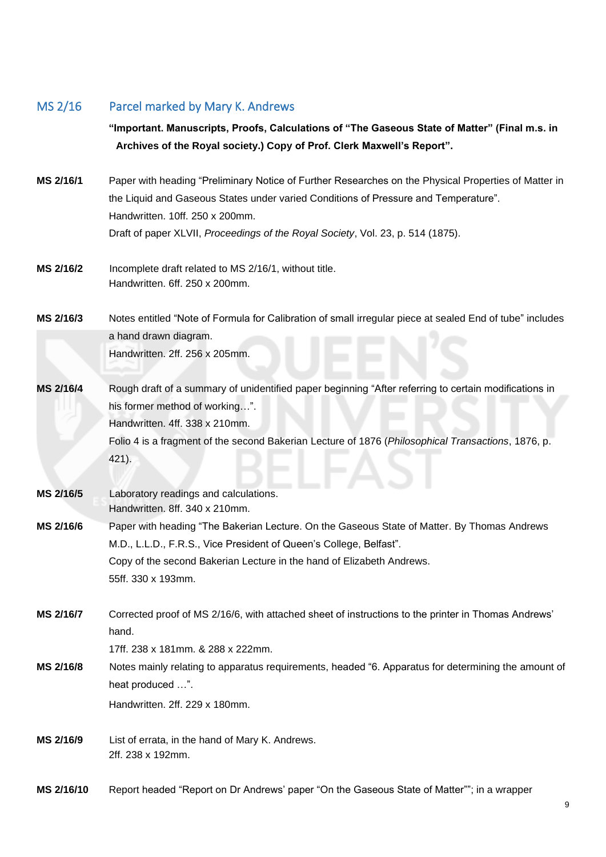## <span id="page-8-0"></span>MS 2/16 Parcel marked by Mary K. Andrews

**"Important. Manuscripts, Proofs, Calculations of "The Gaseous State of Matter" (Final m.s. in Archives of the Royal society.) Copy of Prof. Clerk Maxwell's Report".**

**MS 2/16/1** Paper with heading "Preliminary Notice of Further Researches on the Physical Properties of Matter in the Liquid and Gaseous States under varied Conditions of Pressure and Temperature". Handwritten. 10ff. 250 x 200mm. Draft of paper XLVII, *Proceedings of the Royal Society*, Vol. 23, p. 514 (1875).

**MS 2/16/2** Incomplete draft related to MS 2/16/1, without title. Handwritten. 6ff. 250 x 200mm.

**MS 2/16/3** Notes entitled "Note of Formula for Calibration of small irregular piece at sealed End of tube" includes a hand drawn diagram. Handwritten. 2ff. 256 x 205mm.

- **MS 2/16/4** Rough draft of a summary of unidentified paper beginning "After referring to certain modifications in his former method of working…". Handwritten. 4ff. 338 x 210mm. Folio 4 is a fragment of the second Bakerian Lecture of 1876 (*Philosophical Transactions*, 1876, p.
- **MS 2/16/5** Laboratory readings and calculations. Handwritten. 8ff. 340 x 210mm.

<span id="page-8-1"></span>421).

**MS 2/16/6** Paper with heading "The Bakerian Lecture. On the Gaseous State of Matter. By Thomas Andrews M.D., L.L.D., F.R.S., Vice President of Queen's College, Belfast". Copy of the second Bakerian Lecture in the hand of Elizabeth Andrews. 55ff. 330 x 193mm.

- **MS 2/16/7** Corrected proof of MS 2/16/6, with attached sheet of instructions to the printer in Thomas Andrews' hand.
	- 17ff. 238 x 181mm. & 288 x 222mm.
- **MS 2/16/8** Notes mainly relating to apparatus requirements, headed "6. Apparatus for determining the amount of heat produced …".

Handwritten. 2ff. 229 x 180mm.

- <span id="page-8-2"></span>**MS 2/16/9** List of errata, in the hand of Mary K. Andrews. 2ff. 238 x 192mm.
- <span id="page-8-3"></span>**MS 2/16/10** Report headed "Report on Dr Andrews' paper "On the Gaseous State of Matter""; in a wrapper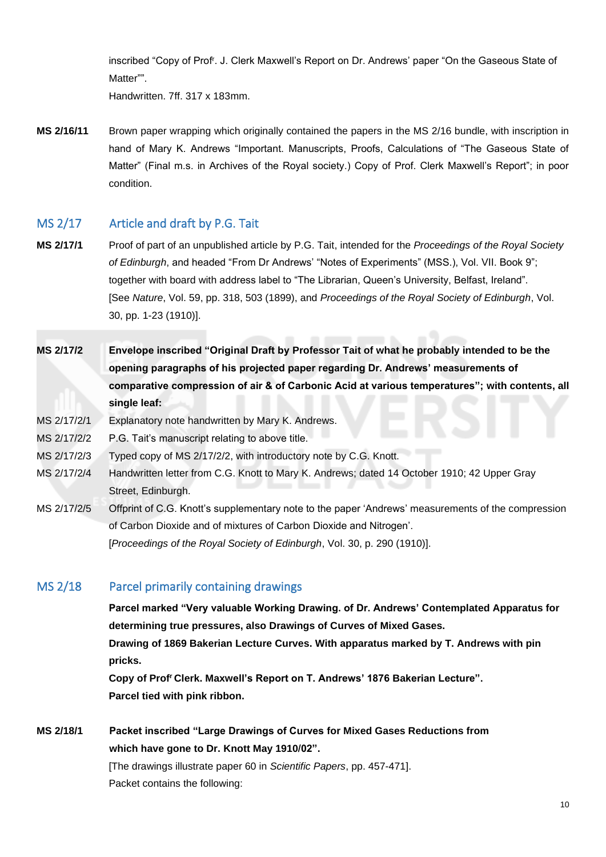inscribed "Copy of Prof<sup>r</sup> . J. Clerk Maxwell's Report on Dr. Andrews' paper "On the Gaseous State of Matter"".

<span id="page-9-0"></span>Handwritten. 7ff. 317 x 183mm.

<span id="page-9-2"></span>**MS 2/16/11** Brown paper wrapping which originally contained the papers in the MS 2/16 bundle, with inscription in hand of Mary K. Andrews "Important. Manuscripts, Proofs, Calculations of "The Gaseous State of Matter" (Final m.s. in Archives of the Royal society.) Copy of Prof. Clerk Maxwell's Report"; in poor condition.

# MS 2/17 Article and draft by P.G. Tait

- **MS 2/17/1** Proof of part of an unpublished article by P.G. Tait, intended for the *Proceedings of the Royal Society of Edinburgh*, and headed "From Dr Andrews' "Notes of Experiments" (MSS.), Vol. VII. Book 9"; together with board with address label to "The Librarian, Queen's University, Belfast, Ireland". [See *Nature*, Vol. 59, pp. 318, 503 (1899), and *Proceedings of the Royal Society of Edinburgh*, Vol. 30, pp. 1-23 (1910)].
- <span id="page-9-6"></span>**MS 2/17/2 Envelope inscribed "Original Draft by Professor Tait of what he probably intended to be the opening paragraphs of his projected paper regarding Dr. Andrews' measurements of comparative compression of air & of Carbonic Acid at various temperatures"; with contents, all single leaf:**

### <span id="page-9-3"></span>MS 2/17/2/1 Explanatory note handwritten by Mary K. Andrews.

MS 2/17/2/2 P.G. Tait's manuscript relating to above title.

- MS 2/17/2/3 Typed copy of MS 2/17/2/2, with introductory note by C.G. Knott.
- <span id="page-9-4"></span>MS 2/17/2/4 Handwritten letter from C.G. Knott to Mary K. Andrews; dated 14 October 1910; 42 Upper Gray Street, Edinburgh.
- MS 2/17/2/5 Offprint of C.G. Knott's supplementary note to the paper 'Andrews' measurements of the compression of Carbon Dioxide and of mixtures of Carbon Dioxide and Nitrogen'. [*Proceedings of the Royal Society of Edinburgh*, Vol. 30, p. 290 (1910)].

### <span id="page-9-1"></span>MS 2/18 Parcel primarily containing drawings

**Parcel marked "Very valuable Working Drawing. of Dr. Andrews' Contemplated Apparatus for determining true pressures, also Drawings of Curves of Mixed Gases. Drawing of 1869 Bakerian Lecture Curves. With apparatus marked by T. Andrews with pin pricks.**

<span id="page-9-5"></span>**Copy of Prof<sup>r</sup>Clerk. Maxwell's Report on T. Andrews' 1876 Bakerian Lecture". Parcel tied with pink ribbon.**

<span id="page-9-7"></span>**MS 2/18/1 Packet inscribed "Large Drawings of Curves for Mixed Gases Reductions from which have gone to Dr. Knott May 1910/02".** [The drawings illustrate paper 60 in *Scientific Papers*, pp. 457-471]. Packet contains the following: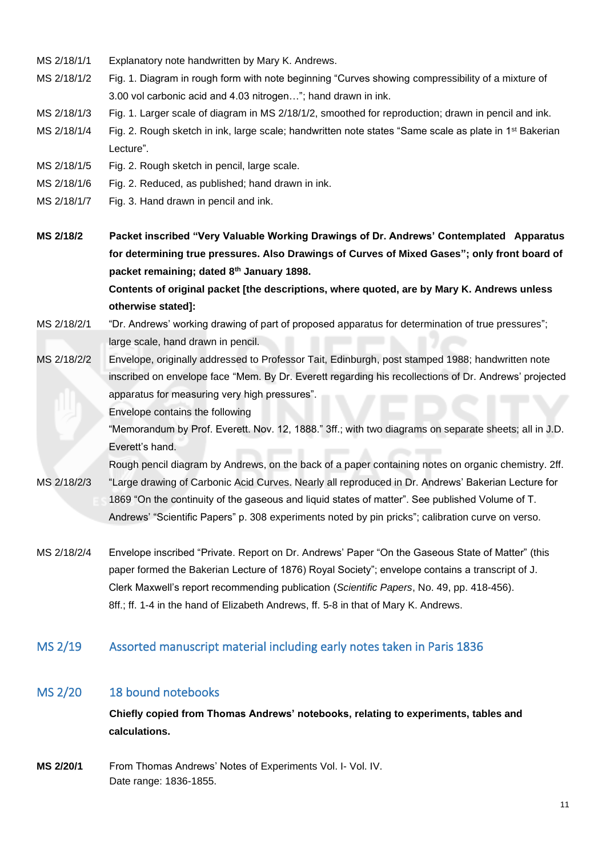- MS 2/18/1/1 Explanatory note handwritten by Mary K. Andrews.
- MS 2/18/1/2 Fig. 1. Diagram in rough form with note beginning "Curves showing compressibility of a mixture of 3.00 vol carbonic acid and 4.03 nitrogen…"; hand drawn in ink.
- MS 2/18/1/3 Fig. 1. Larger scale of diagram in MS 2/18/1/2, smoothed for reproduction; drawn in pencil and ink.
- MS 2/18/1/4 Fig. 2. Rough sketch in ink, large scale; handwritten note states "Same scale as plate in 1<sup>st</sup> Bakerian Lecture".
- MS 2/18/1/5 Fig. 2. Rough sketch in pencil, large scale.
- MS 2/18/1/6 Fig. 2. Reduced, as published; hand drawn in ink.
- MS 2/18/1/7 Fig. 3. Hand drawn in pencil and ink.

<span id="page-10-3"></span>**MS 2/18/2 Packet inscribed "Very Valuable Working Drawings of Dr. Andrews' Contemplated Apparatus for determining true pressures. Also Drawings of Curves of Mixed Gases"; only front board of packet remaining; dated 8th January 1898. Contents of original packet [the descriptions, where quoted, are by Mary K. Andrews unless otherwise stated]:**

- MS 2/18/2/1 "Dr. Andrews' working drawing of part of proposed apparatus for determination of true pressures"; large scale, hand drawn in pencil.
- MS 2/18/2/2 Envelope, originally addressed to Professor Tait, Edinburgh, post stamped 1988; handwritten note inscribed on envelope face "Mem. By Dr. Everett regarding his recollections of Dr. Andrews' projected apparatus for measuring very high pressures".

<span id="page-10-4"></span>Envelope contains the following

"Memorandum by Prof. Everett. Nov. 12, 1888." 3ff.; with two diagrams on separate sheets; all in J.D. Everett's hand.

Rough pencil diagram by Andrews, on the back of a paper containing notes on organic chemistry. 2ff. MS 2/18/2/3 "Large drawing of Carbonic Acid Curves. Nearly all reproduced in Dr. Andrews' Bakerian Lecture for 1869 "On the continuity of the gaseous and liquid states of matter". See published Volume of T.

Andrews' "Scientific Papers" p. 308 experiments noted by pin pricks"; calibration curve on verso.

<span id="page-10-2"></span>MS 2/18/2/4 Envelope inscribed "Private. Report on Dr. Andrews' Paper "On the Gaseous State of Matter" (this paper formed the Bakerian Lecture of 1876) Royal Society"; envelope contains a transcript of J. Clerk Maxwell's report recommending publication (*Scientific Papers*, No. 49, pp. 418-456). 8ff.; ff. 1-4 in the hand of Elizabeth Andrews, ff. 5-8 in that of Mary K. Andrews.

### <span id="page-10-0"></span>MS 2/19 Assorted manuscript material including early notes taken in Paris 1836

## MS 2/20 18 bound notebooks

<span id="page-10-1"></span>**Chiefly copied from Thomas Andrews' notebooks, relating to experiments, tables and calculations.**

**MS 2/20/1** From Thomas Andrews' Notes of Experiments Vol. I- Vol. IV. Date range: 1836-1855.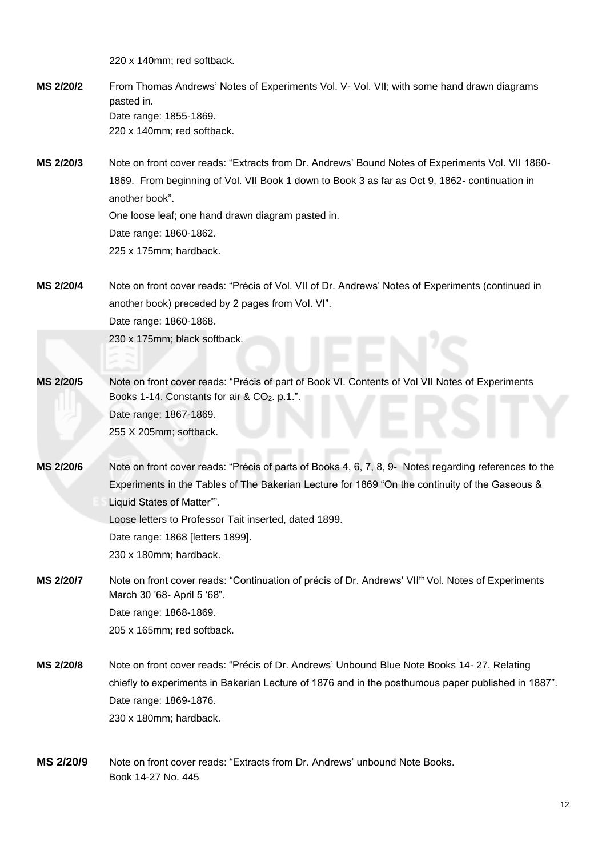220 x 140mm; red softback.

- **MS 2/20/2** From Thomas Andrews' Notes of Experiments Vol. V- Vol. VII; with some hand drawn diagrams pasted in. Date range: 1855-1869. 220 x 140mm; red softback.
- **MS 2/20/3** Note on front cover reads: "Extracts from Dr. Andrews' Bound Notes of Experiments Vol. VII 1860- 1869. From beginning of Vol. VII Book 1 down to Book 3 as far as Oct 9, 1862- continuation in another book". One loose leaf; one hand drawn diagram pasted in. Date range: 1860-1862. 225 x 175mm; hardback.
- **MS 2/20/4** Note on front cover reads: "Précis of Vol. VII of Dr. Andrews' Notes of Experiments (continued in another book) preceded by 2 pages from Vol. VI". Date range: 1860-1868. 230 x 175mm; black softback.
- **MS 2/20/5** Note on front cover reads: "Précis of part of Book VI. Contents of Vol VII Notes of Experiments Books 1-14. Constants for air & CO<sub>2</sub>. p.1.". Date range: 1867-1869. 255 X 205mm; softback.
- <span id="page-11-0"></span>**MS 2/20/6** Note on front cover reads: "Précis of parts of Books 4, 6, 7, 8, 9- Notes regarding references to the Experiments in the Tables of The Bakerian Lecture for 1869 "On the continuity of the Gaseous & Liquid States of Matter"". Loose letters to Professor Tait inserted, dated 1899. Date range: 1868 [letters 1899].
	- 230 x 180mm; hardback.
- **MS** 2/20/7 Note on front cover reads: "Continuation of précis of Dr. Andrews' VII<sup>th</sup> Vol. Notes of Experiments March 30 '68- April 5 '68". Date range: 1868-1869. 205 x 165mm; red softback.
- **MS 2/20/8** Note on front cover reads: "Précis of Dr. Andrews' Unbound Blue Note Books 14- 27. Relating chiefly to experiments in Bakerian Lecture of 1876 and in the posthumous paper published in 1887". Date range: 1869-1876. 230 x 180mm; hardback.
- **MS 2/20/9** Note on front cover reads: "Extracts from Dr. Andrews' unbound Note Books. Book 14-27 No. 445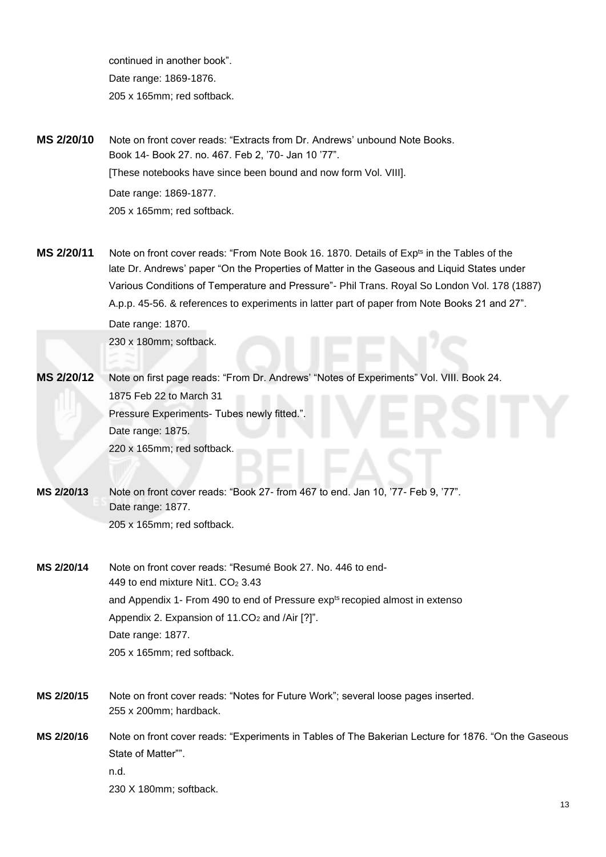continued in another book". Date range: 1869-1876. 205 x 165mm; red softback.

**MS 2/20/10** Note on front cover reads: "Extracts from Dr. Andrews' unbound Note Books. Book 14- Book 27. no. 467. Feb 2, '70- Jan 10 '77". [These notebooks have since been bound and now form Vol. VIII]. Date range: 1869-1877. 205 x 165mm; red softback.

- **MS** 2/20/11 Note on front cover reads: "From Note Book 16. 1870. Details of Exp<sup>ts</sup> in the Tables of the late Dr. Andrews' paper "On the Properties of Matter in the Gaseous and Liquid States under Various Conditions of Temperature and Pressure"- Phil Trans. Royal So London Vol. 178 (1887) A.p.p. 45-56. & references to experiments in latter part of paper from Note Books 21 and 27". Date range: 1870. 230 x 180mm; softback.
- **MS 2/20/12** Note on first page reads: "From Dr. Andrews' "Notes of Experiments" Vol. VIII. Book 24. 1875 Feb 22 to March 31 Pressure Experiments- Tubes newly fitted." Date range: 1875. 220 x 165mm; red softback.
- **MS 2/20/13** Note on front cover reads: "Book 27- from 467 to end. Jan 10, '77- Feb 9, '77". Date range: 1877. 205 x 165mm; red softback.

**MS 2/20/14** Note on front cover reads: "Resumé Book 27. No. 446 to end-449 to end mixture Nit1.  $CO<sub>2</sub>$  3.43 and Appendix 1- From 490 to end of Pressure exp<sup>ts</sup> recopied almost in extenso Appendix 2. Expansion of  $11.CO<sub>2</sub>$  and /Air [?]". Date range: 1877. 205 x 165mm; red softback.

- **MS 2/20/15** Note on front cover reads: "Notes for Future Work"; several loose pages inserted. 255 x 200mm; hardback.
- **MS 2/20/16** Note on front cover reads: "Experiments in Tables of The Bakerian Lecture for 1876. "On the Gaseous State of Matter"". n.d. 230 X 180mm; softback.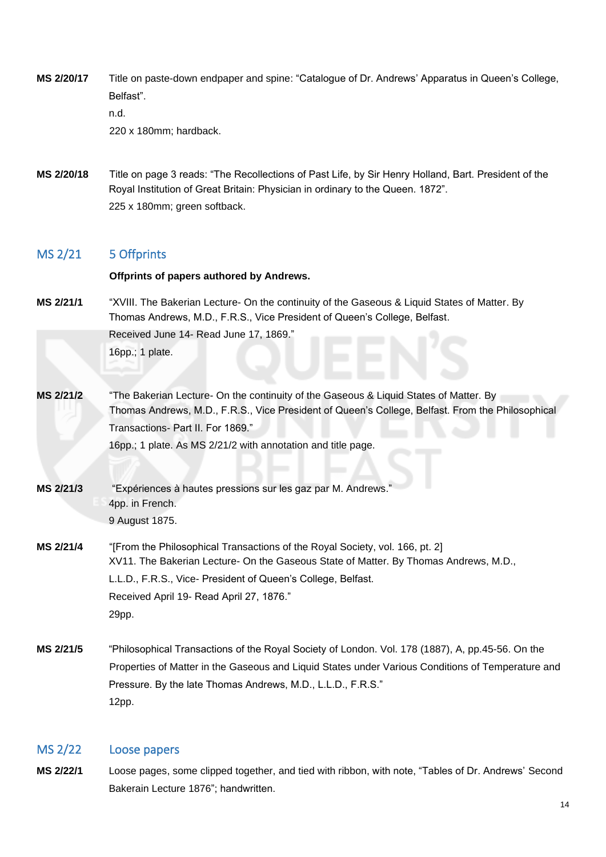- **MS 2/20/17** Title on paste-down endpaper and spine: "Catalogue of Dr. Andrews' Apparatus in Queen's College, Belfast". n.d. 220 x 180mm; hardback.
- <span id="page-13-2"></span>**MS 2/20/18** Title on page 3 reads: "The Recollections of Past Life, by Sir Henry Holland, Bart. President of the Royal Institution of Great Britain: Physician in ordinary to the Queen. 1872". 225 x 180mm; green softback.

### <span id="page-13-0"></span>MS 2/21 5 Offprints

#### **Offprints of papers authored by Andrews.**

- **MS 2/21/1** "XVIII. The Bakerian Lecture- On the continuity of the Gaseous & Liquid States of Matter. By Thomas Andrews, M.D., F.R.S., Vice President of Queen's College, Belfast. Received June 14- Read June 17, 1869." 16pp.; 1 plate.
- **MS 2/21/2** "The Bakerian Lecture- On the continuity of the Gaseous & Liquid States of Matter. By Thomas Andrews, M.D., F.R.S., Vice President of Queen's College, Belfast. From the Philosophical Transactions- Part II. For 1869." 16pp.; 1 plate. As MS 2/21/2 with annotation and title page.
- **MS 2/21/3** "Expériences à hautes pressions sur les gaz par M. Andrews." 4pp. in French. 9 August 1875.
- **MS 2/21/4** "[From the Philosophical Transactions of the Royal Society, vol. 166, pt. 2] XV11. The Bakerian Lecture- On the Gaseous State of Matter. By Thomas Andrews, M.D., L.L.D., F.R.S., Vice- President of Queen's College, Belfast. Received April 19- Read April 27, 1876." 29pp.
- **MS 2/21/5** "Philosophical Transactions of the Royal Society of London. Vol. 178 (1887), A, pp.45-56. On the Properties of Matter in the Gaseous and Liquid States under Various Conditions of Temperature and Pressure. By the late Thomas Andrews, M.D., L.L.D., F.R.S." 12pp.

#### <span id="page-13-1"></span>MS 2/22 Loose papers

**MS 2/22/1** Loose pages, some clipped together, and tied with ribbon, with note, "Tables of Dr. Andrews' Second Bakerain Lecture 1876"; handwritten.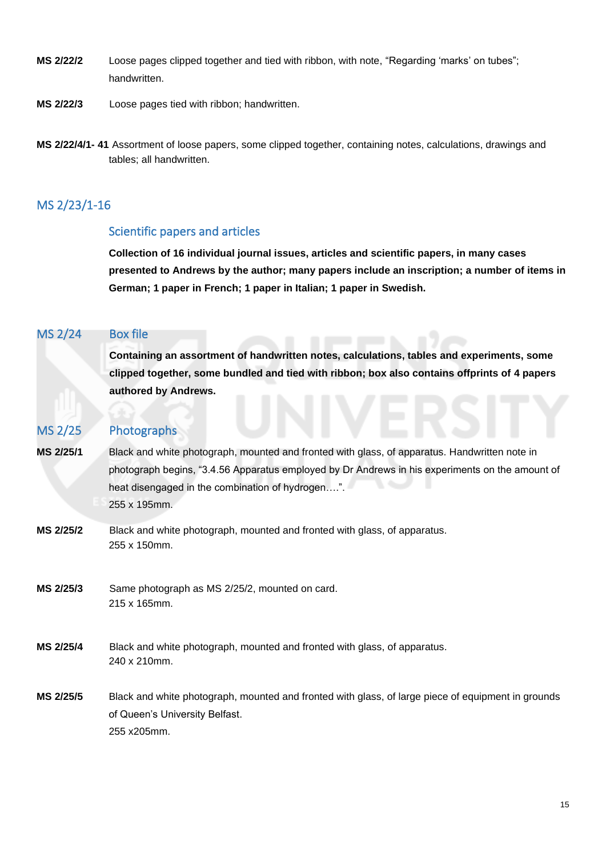- **MS 2/22/2** Loose pages clipped together and tied with ribbon, with note, "Regarding 'marks' on tubes"; handwritten.
- **MS 2/22/3** Loose pages tied with ribbon; handwritten.
- **MS 2/22/4/1- 41** Assortment of loose papers, some clipped together, containing notes, calculations, drawings and tables; all handwritten.

# MS 2/23/1-16

### <span id="page-14-0"></span>Scientific papers and articles

**Collection of 16 individual journal issues, articles and scientific papers, in many cases presented to Andrews by the author; many papers include an inscription; a number of items in German; 1 paper in French; 1 paper in Italian; 1 paper in Swedish.**

### <span id="page-14-1"></span>MS 2/24 Box file

**Containing an assortment of handwritten notes, calculations, tables and experiments, some clipped together, some bundled and tied with ribbon; box also contains offprints of 4 papers authored by Andrews.**

## <span id="page-14-2"></span>MS 2/25 Photographs

- **MS 2/25/1** Black and white photograph, mounted and fronted with glass, of apparatus. Handwritten note in photograph begins, "3.4.56 Apparatus employed by Dr Andrews in his experiments on the amount of heat disengaged in the combination of hydrogen….". 255 x 195mm.
- **MS 2/25/2** Black and white photograph, mounted and fronted with glass, of apparatus. 255 x 150mm.
- **MS 2/25/3** Same photograph as MS 2/25/2, mounted on card. 215 x 165mm.
- **MS 2/25/4** Black and white photograph, mounted and fronted with glass, of apparatus. 240 x 210mm.
- **MS 2/25/5** Black and white photograph, mounted and fronted with glass, of large piece of equipment in grounds of Queen's University Belfast. 255 x205mm.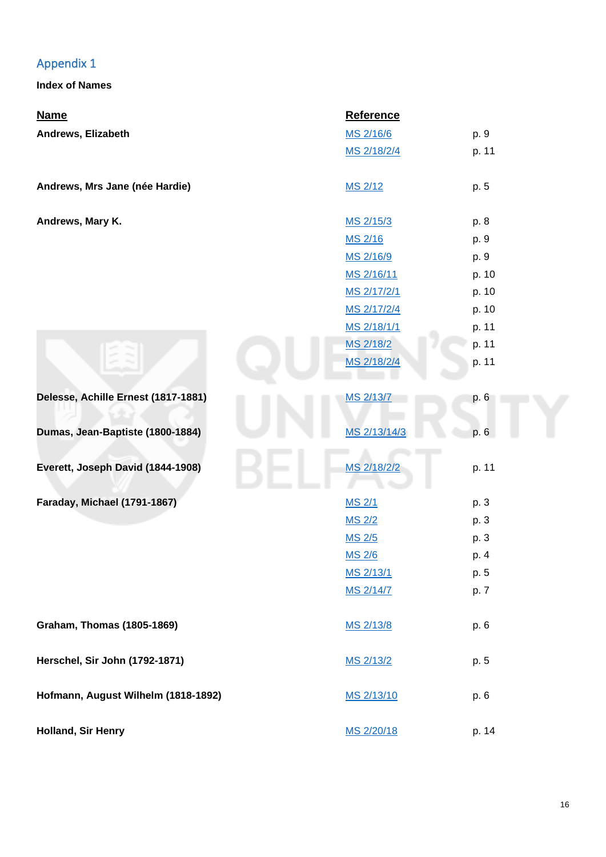# Appendix 1

<span id="page-15-0"></span>**Index of Names**

| <b>Name</b>                         | <b>Reference</b> |       |
|-------------------------------------|------------------|-------|
| Andrews, Elizabeth                  | MS 2/16/6        | p. 9  |
|                                     | MS 2/18/2/4      | p. 11 |
| Andrews, Mrs Jane (née Hardie)      | MS 2/12          | p. 5  |
| Andrews, Mary K.                    | MS 2/15/3        | p. 8  |
|                                     | MS 2/16          | p. 9  |
|                                     | MS 2/16/9        | p. 9  |
|                                     | MS 2/16/11       | p. 10 |
|                                     | MS 2/17/2/1      | p. 10 |
|                                     | MS 2/17/2/4      | p. 10 |
|                                     | MS 2/18/1/1      | p. 11 |
|                                     | MS 2/18/2        | p. 11 |
|                                     | MS 2/18/2/4      | p. 11 |
| Delesse, Achille Ernest (1817-1881) | MS 2/13/7        | p. 6  |
| Dumas, Jean-Baptiste (1800-1884)    | MS 2/13/14/3     | p. 6  |
| Everett, Joseph David (1844-1908)   | MS 2/18/2/2      | p. 11 |
| Faraday, Michael (1791-1867)        | <b>MS 2/1</b>    | p. 3  |
|                                     | <b>MS 2/2</b>    | p. 3  |
|                                     | <b>MS 2/5</b>    | p. 3  |
|                                     | <b>MS 2/6</b>    | p. 4  |
|                                     | MS 2/13/1        | p. 5  |
|                                     | MS 2/14/7        | p. 7  |
| <b>Graham, Thomas (1805-1869)</b>   | MS 2/13/8        | p. 6  |
| Herschel, Sir John (1792-1871)      | MS 2/13/2        | p. 5  |
| Hofmann, August Wilhelm (1818-1892) |                  | p. 6  |
|                                     | MS 2/13/10       |       |